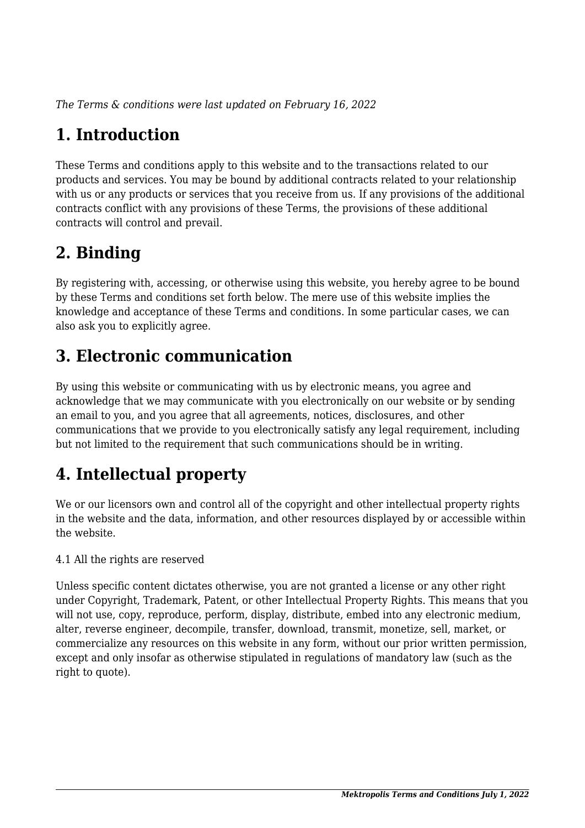*The Terms & conditions were last updated on February 16, 2022*

# **1. Introduction**

These Terms and conditions apply to this website and to the transactions related to our products and services. You may be bound by additional contracts related to your relationship with us or any products or services that you receive from us. If any provisions of the additional contracts conflict with any provisions of these Terms, the provisions of these additional contracts will control and prevail.

### **2. Binding**

By registering with, accessing, or otherwise using this website, you hereby agree to be bound by these Terms and conditions set forth below. The mere use of this website implies the knowledge and acceptance of these Terms and conditions. In some particular cases, we can also ask you to explicitly agree.

### **3. Electronic communication**

By using this website or communicating with us by electronic means, you agree and acknowledge that we may communicate with you electronically on our website or by sending an email to you, and you agree that all agreements, notices, disclosures, and other communications that we provide to you electronically satisfy any legal requirement, including but not limited to the requirement that such communications should be in writing.

# **4. Intellectual property**

We or our licensors own and control all of the copyright and other intellectual property rights in the website and the data, information, and other resources displayed by or accessible within the website.

4.1 All the rights are reserved

Unless specific content dictates otherwise, you are not granted a license or any other right under Copyright, Trademark, Patent, or other Intellectual Property Rights. This means that you will not use, copy, reproduce, perform, display, distribute, embed into any electronic medium, alter, reverse engineer, decompile, transfer, download, transmit, monetize, sell, market, or commercialize any resources on this website in any form, without our prior written permission, except and only insofar as otherwise stipulated in regulations of mandatory law (such as the right to quote).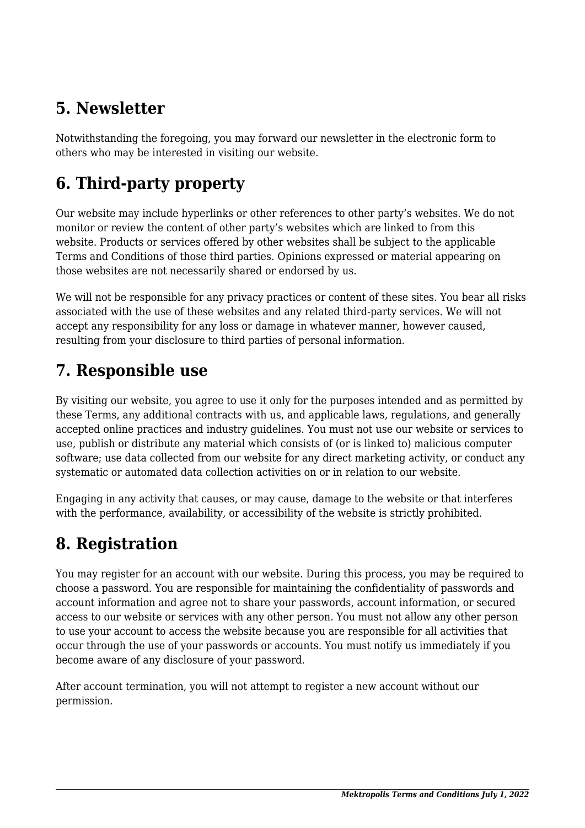### **5. Newsletter**

Notwithstanding the foregoing, you may forward our newsletter in the electronic form to others who may be interested in visiting our website.

# **6. Third-party property**

Our website may include hyperlinks or other references to other party's websites. We do not monitor or review the content of other party's websites which are linked to from this website. Products or services offered by other websites shall be subject to the applicable Terms and Conditions of those third parties. Opinions expressed or material appearing on those websites are not necessarily shared or endorsed by us.

We will not be responsible for any privacy practices or content of these sites. You bear all risks associated with the use of these websites and any related third-party services. We will not accept any responsibility for any loss or damage in whatever manner, however caused, resulting from your disclosure to third parties of personal information.

#### **7. Responsible use**

By visiting our website, you agree to use it only for the purposes intended and as permitted by these Terms, any additional contracts with us, and applicable laws, regulations, and generally accepted online practices and industry guidelines. You must not use our website or services to use, publish or distribute any material which consists of (or is linked to) malicious computer software; use data collected from our website for any direct marketing activity, or conduct any systematic or automated data collection activities on or in relation to our website.

Engaging in any activity that causes, or may cause, damage to the website or that interferes with the performance, availability, or accessibility of the website is strictly prohibited.

### **8. Registration**

You may register for an account with our website. During this process, you may be required to choose a password. You are responsible for maintaining the confidentiality of passwords and account information and agree not to share your passwords, account information, or secured access to our website or services with any other person. You must not allow any other person to use your account to access the website because you are responsible for all activities that occur through the use of your passwords or accounts. You must notify us immediately if you become aware of any disclosure of your password.

After account termination, you will not attempt to register a new account without our permission.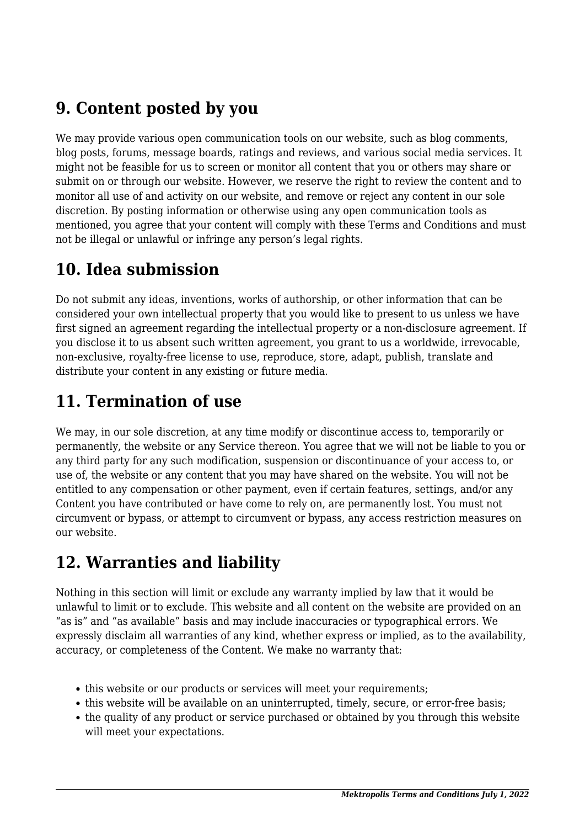### **9. Content posted by you**

We may provide various open communication tools on our website, such as blog comments, blog posts, forums, message boards, ratings and reviews, and various social media services. It might not be feasible for us to screen or monitor all content that you or others may share or submit on or through our website. However, we reserve the right to review the content and to monitor all use of and activity on our website, and remove or reject any content in our sole discretion. By posting information or otherwise using any open communication tools as mentioned, you agree that your content will comply with these Terms and Conditions and must not be illegal or unlawful or infringe any person's legal rights.

#### **10. Idea submission**

Do not submit any ideas, inventions, works of authorship, or other information that can be considered your own intellectual property that you would like to present to us unless we have first signed an agreement regarding the intellectual property or a non-disclosure agreement. If you disclose it to us absent such written agreement, you grant to us a worldwide, irrevocable, non-exclusive, royalty-free license to use, reproduce, store, adapt, publish, translate and distribute your content in any existing or future media.

### **11. Termination of use**

We may, in our sole discretion, at any time modify or discontinue access to, temporarily or permanently, the website or any Service thereon. You agree that we will not be liable to you or any third party for any such modification, suspension or discontinuance of your access to, or use of, the website or any content that you may have shared on the website. You will not be entitled to any compensation or other payment, even if certain features, settings, and/or any Content you have contributed or have come to rely on, are permanently lost. You must not circumvent or bypass, or attempt to circumvent or bypass, any access restriction measures on our website.

#### **12. Warranties and liability**

Nothing in this section will limit or exclude any warranty implied by law that it would be unlawful to limit or to exclude. This website and all content on the website are provided on an "as is" and "as available" basis and may include inaccuracies or typographical errors. We expressly disclaim all warranties of any kind, whether express or implied, as to the availability, accuracy, or completeness of the Content. We make no warranty that:

- this website or our products or services will meet your requirements;
- this website will be available on an uninterrupted, timely, secure, or error-free basis;
- the quality of any product or service purchased or obtained by you through this website will meet your expectations.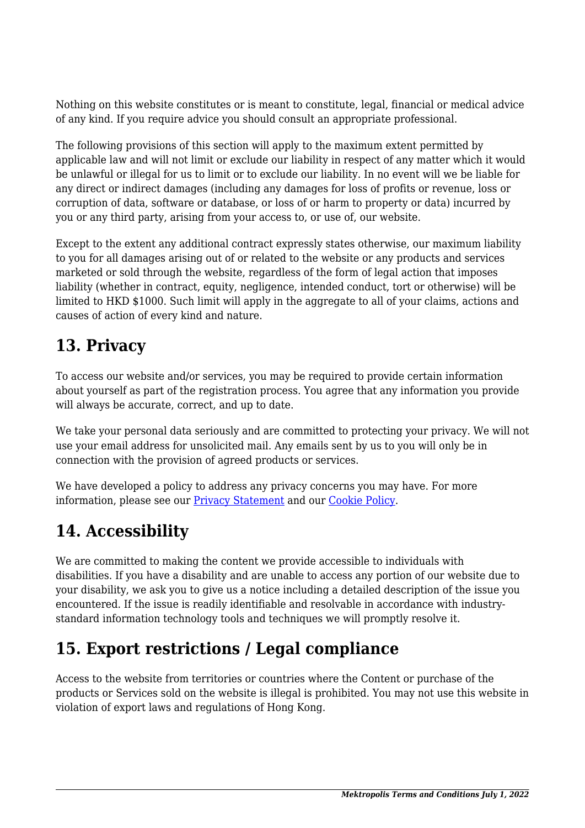Nothing on this website constitutes or is meant to constitute, legal, financial or medical advice of any kind. If you require advice you should consult an appropriate professional.

The following provisions of this section will apply to the maximum extent permitted by applicable law and will not limit or exclude our liability in respect of any matter which it would be unlawful or illegal for us to limit or to exclude our liability. In no event will we be liable for any direct or indirect damages (including any damages for loss of profits or revenue, loss or corruption of data, software or database, or loss of or harm to property or data) incurred by you or any third party, arising from your access to, or use of, our website.

Except to the extent any additional contract expressly states otherwise, our maximum liability to you for all damages arising out of or related to the website or any products and services marketed or sold through the website, regardless of the form of legal action that imposes liability (whether in contract, equity, negligence, intended conduct, tort or otherwise) will be limited to HKD \$1000. Such limit will apply in the aggregate to all of your claims, actions and causes of action of every kind and nature.

### **13. Privacy**

To access our website and/or services, you may be required to provide certain information about yourself as part of the registration process. You agree that any information you provide will always be accurate, correct, and up to date.

We take your personal data seriously and are committed to protecting your privacy. We will not use your email address for unsolicited mail. Any emails sent by us to you will only be in connection with the provision of agreed products or services.

We have developed a policy to address any privacy concerns you may have. For more information, please see our [Privacy Statement](https://mektropolis.com/privacy-statement) and our [Cookie Policy](https://mektropolis.com/cookie-policy-eu/).

# **14. Accessibility**

We are committed to making the content we provide accessible to individuals with disabilities. If you have a disability and are unable to access any portion of our website due to your disability, we ask you to give us a notice including a detailed description of the issue you encountered. If the issue is readily identifiable and resolvable in accordance with industrystandard information technology tools and techniques we will promptly resolve it.

### **15. Export restrictions / Legal compliance**

Access to the website from territories or countries where the Content or purchase of the products or Services sold on the website is illegal is prohibited. You may not use this website in violation of export laws and regulations of Hong Kong.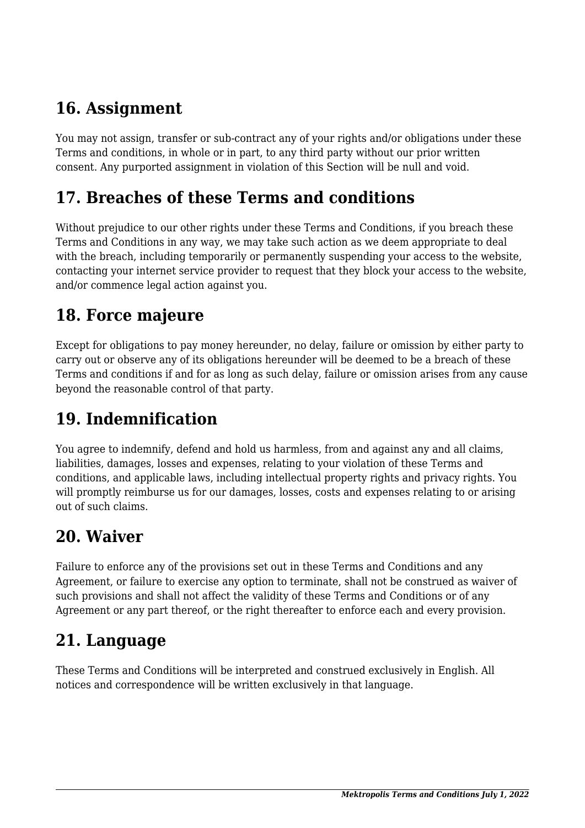### **16. Assignment**

You may not assign, transfer or sub-contract any of your rights and/or obligations under these Terms and conditions, in whole or in part, to any third party without our prior written consent. Any purported assignment in violation of this Section will be null and void.

#### **17. Breaches of these Terms and conditions**

Without prejudice to our other rights under these Terms and Conditions, if you breach these Terms and Conditions in any way, we may take such action as we deem appropriate to deal with the breach, including temporarily or permanently suspending your access to the website, contacting your internet service provider to request that they block your access to the website, and/or commence legal action against you.

#### **18. Force majeure**

Except for obligations to pay money hereunder, no delay, failure or omission by either party to carry out or observe any of its obligations hereunder will be deemed to be a breach of these Terms and conditions if and for as long as such delay, failure or omission arises from any cause beyond the reasonable control of that party.

### **19. Indemnification**

You agree to indemnify, defend and hold us harmless, from and against any and all claims, liabilities, damages, losses and expenses, relating to your violation of these Terms and conditions, and applicable laws, including intellectual property rights and privacy rights. You will promptly reimburse us for our damages, losses, costs and expenses relating to or arising out of such claims.

#### **20. Waiver**

Failure to enforce any of the provisions set out in these Terms and Conditions and any Agreement, or failure to exercise any option to terminate, shall not be construed as waiver of such provisions and shall not affect the validity of these Terms and Conditions or of any Agreement or any part thereof, or the right thereafter to enforce each and every provision.

### **21. Language**

These Terms and Conditions will be interpreted and construed exclusively in English. All notices and correspondence will be written exclusively in that language.